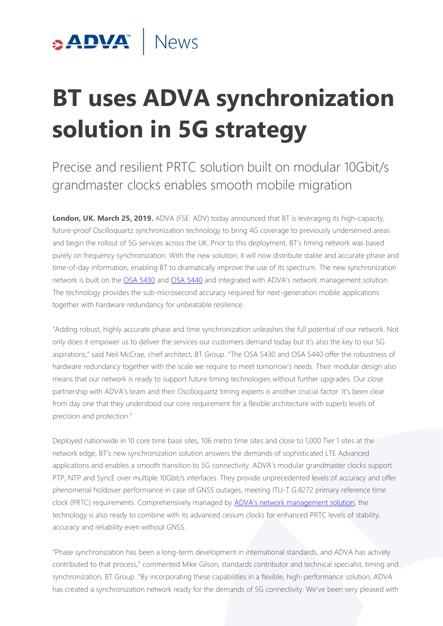

# **BT uses ADVA synchronization solution in 5G strategy**

Precise and resilient PRTC solution built on modular 10Gbit/s grandmaster clocks enables smooth mobile migration

**London, UK. March 25, 2019.** ADVA (FSE: ADV) today announced that BT is leveraging its high-capacity, future-proof Oscilloquartz synchronization technology to bring 4G coverage to previously underserved areas and begin the rollout of 5G services across the UK. Prior to this deployment, BT's timing network was based purely on frequency synchronization. With the new solution, it will now distribute stable and accurate phase and time-of-day information, enabling BT to dramatically improve the use of its spectrum. The new synchronization network is built on the [OSA 5430](https://www.oscilloquartz.com/en/products-and-services/ptp-grandmaster-clocks/core-ptp-grandmasters/osa-5430-series?utm_source=press-release&utm_campaign=190325-bt-sync) and [OSA 5440](https://www.oscilloquartz.com/en/products-and-services/ptp-grandmaster-clocks/core-ptp-grandmasters/osa-5440?utm_source=press-release&utm_campaign=190325-bt-sync) and integrated with ADVA's network management solution. The technology provides the sub-microsecond accuracy required for next-generation mobile applications together with hardware redundancy for unbeatable resilience.

"Adding robust, highly accurate phase and time synchronization unleashes the full potential of our network. Not only does it empower us to deliver the services our customers demand today but it's also the key to our 5G aspirations," said Neil McCrae, chief architect, BT Group. "The OSA 5430 and OSA 5440 offer the robustness of hardware redundancy together with the scale we require to meet tomorrow's needs. Their modular design also means that our network is ready to support future timing technologies without further upgrades. Our close partnership with ADVA's team and their Oscilloquartz timing experts is another crucial factor. It's been clear from day one that they understood our core requirement for a flexible architecture with superb levels of precision and protection."

Deployed nationwide in 10 core time base sites, 106 metro time sites and close to 1,000 Tier 1 sites at the network edge, BT's new synchronization solution answers the demands of sophisticated LTE Advanced applications and enables a smooth transition to 5G connectivity. ADVA's modular grandmaster clocks support PTP, NTP and SyncE over multiple 10Gbit/s interfaces. They provide unprecedented levels of accuracy and offer phenomenal holdover performance in case of GNSS outages, meeting ITU-T G.8272 primary reference time clock (PRTC) requirements. Comprehensively managed by [ADVA's network management solution](https://www.advaoptical.com/en/products/automated-network-management?utm_source=press-release&utm_campaign=190325-bt-sync), the technology is also ready to combine with its advanced cesium clocks for enhanced PRTC levels of stability, accuracy and reliability even without GNSS.

"Phase synchronization has been a long-term development in international standards, and ADVA has actively contributed to that process," commented Mike Gilson, standards contributor and technical specialist, timing and synchronization, BT Group. "By incorporating these capabilities in a flexible, high-performance solution, ADVA has created a synchronization network ready for the demands of 5G connectivity. We've been very pleased with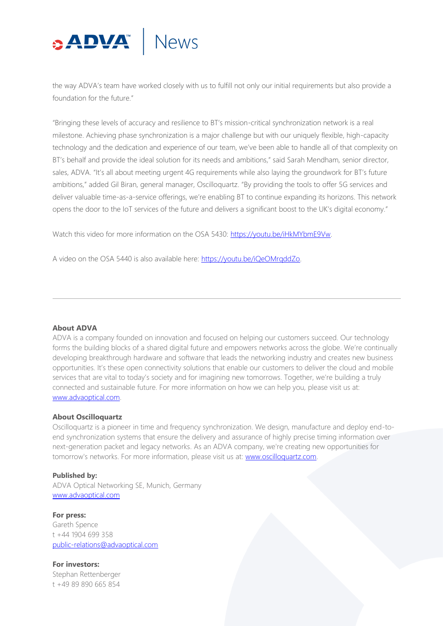## **DVA News**

the way ADVA's team have worked closely with us to fulfill not only our initial requirements but also provide a foundation for the future."

"Bringing these levels of accuracy and resilience to BT's mission-critical synchronization network is a real milestone. Achieving phase synchronization is a major challenge but with our uniquely flexible, high-capacity technology and the dedication and experience of our team, we've been able to handle all of that complexity on BT's behalf and provide the ideal solution for its needs and ambitions," said Sarah Mendham, senior director, sales, ADVA. "It's all about meeting urgent 4G requirements while also laying the groundwork for BT's future ambitions," added Gil Biran, general manager, Oscilloquartz. "By providing the tools to offer 5G services and deliver valuable time-as-a-service offerings, we're enabling BT to continue expanding its horizons. This network opens the door to the IoT services of the future and delivers a significant boost to the UK's digital economy."

Watch this video for more information on the OSA 5430: [https://youtu.be/iHkMYbmE9Vw.](https://youtu.be/iHkMYbmE9Vw) 

A video on the OSA 5440 is also available here: [https://youtu.be/iQeOMrqddZo.](https://youtu.be/iQeOMrqddZo)

### **About ADVA**

ADVA is a company founded on innovation and focused on helping our customers succeed. Our technology forms the building blocks of a shared digital future and empowers networks across the globe. We're continually developing breakthrough hardware and software that leads the networking industry and creates new business opportunities. It's these open connectivity solutions that enable our customers to deliver the cloud and mobile services that are vital to today's society and for imagining new tomorrows. Together, we're building a truly connected and sustainable future. For more information on how we can help you, please visit us at: [www.advaoptical.com.](http://www.advaoptical.com/)

### **About Oscilloquartz**

Oscilloquartz is a pioneer in time and frequency synchronization. We design, manufacture and deploy end-toend synchronization systems that ensure the delivery and assurance of highly precise timing information over next-generation packet and legacy networks. As an ADVA company, we're creating new opportunities for tomorrow's networks. For more information, please visit us at: www.oscilloquartz.com.

### **Published by:**

ADVA Optical Networking SE, Munich, Germany [www.advaoptical.com](http://www.advaoptical.com/)

**For press:** Gareth Spence t +44 1904 699 358 [public-relations@advaoptical.com](mailto:public-relations@advaoptical.com)

**For investors:** Stephan Rettenberger t +49 89 890 665 854